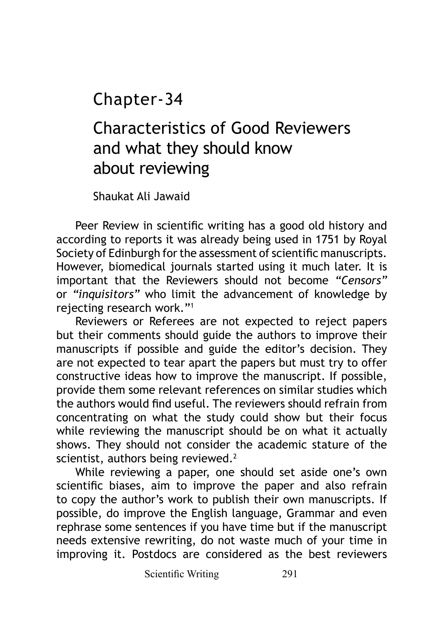Chapter-34

## Characteristics of Good Reviewers and what they should know about reviewing

Shaukat Ali Jawaid

Peer Review in scientific writing has a good old history and according to reports it was already being used in 1751 by Royal Society of Edinburgh for the assessment of scientific manuscripts. However, biomedical journals started using it much later. It is important that the Reviewers should not become *"Censors"*  or *"inquisitors"* who limit the advancement of knowledge by rejecting research work."<sup>1</sup>

Reviewers or Referees are not expected to reject papers but their comments should guide the authors to improve their manuscripts if possible and guide the editor's decision. They are not expected to tear apart the papers but must try to offer constructive ideas how to improve the manuscript. If possible, provide them some relevant references on similar studies which the authors would find useful. The reviewers should refrain from concentrating on what the study could show but their focus while reviewing the manuscript should be on what it actually shows. They should not consider the academic stature of the scientist, authors being reviewed.<sup>2</sup>

While reviewing a paper, one should set aside one's own scientific biases, aim to improve the paper and also refrain to copy the author's work to publish their own manuscripts. If possible, do improve the English language, Grammar and even rephrase some sentences if you have time but if the manuscript needs extensive rewriting, do not waste much of your time in improving it. Postdocs are considered as the best reviewers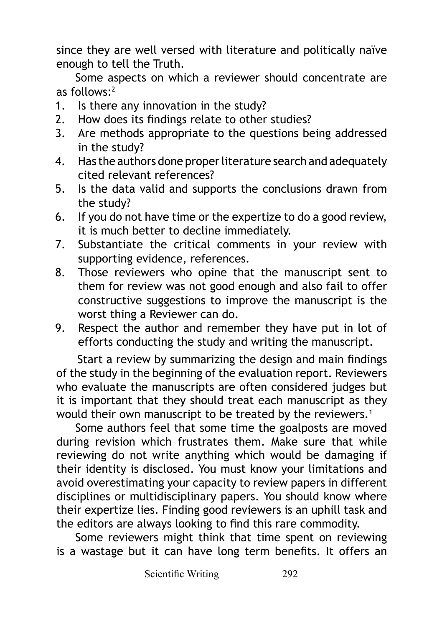since they are well versed with literature and politically naïve enough to tell the Truth.

Some aspects on which a reviewer should concentrate are as follows:2

- 1. Is there any innovation in the study?
- 2. How does its findings relate to other studies?
- 3. Are methods appropriate to the questions being addressed in the study?
- 4. Has the authors done proper literature search and adequately cited relevant references?
- 5. Is the data valid and supports the conclusions drawn from the study?
- 6. If you do not have time or the expertize to do a good review, it is much better to decline immediately.
- 7. Substantiate the critical comments in your review with supporting evidence, references.
- 8. Those reviewers who opine that the manuscript sent to them for review was not good enough and also fail to offer constructive suggestions to improve the manuscript is the worst thing a Reviewer can do.
- 9. Respect the author and remember they have put in lot of efforts conducting the study and writing the manuscript.

Start a review by summarizing the design and main findings of the study in the beginning of the evaluation report. Reviewers who evaluate the manuscripts are often considered judges but it is important that they should treat each manuscript as they would their own manuscript to be treated by the reviewers.<sup>1</sup>

Some authors feel that some time the goalposts are moved during revision which frustrates them. Make sure that while reviewing do not write anything which would be damaging if their identity is disclosed. You must know your limitations and avoid overestimating your capacity to review papers in different disciplines or multidisciplinary papers. You should know where their expertize lies. Finding good reviewers is an uphill task and the editors are always looking to find this rare commodity.

Some reviewers might think that time spent on reviewing is a wastage but it can have long term benefits. It offers an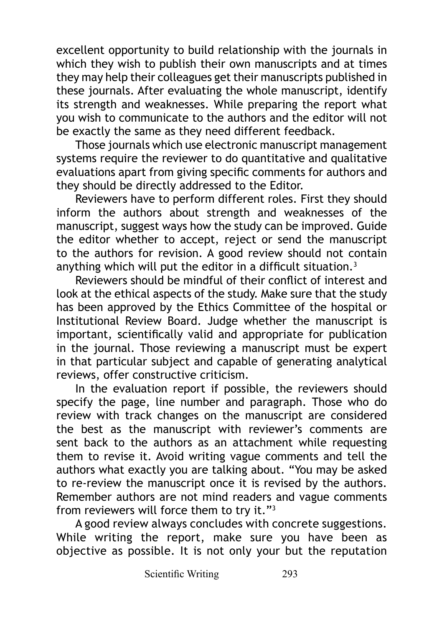excellent opportunity to build relationship with the journals in which they wish to publish their own manuscripts and at times they may help their colleagues get their manuscripts published in these journals. After evaluating the whole manuscript, identify its strength and weaknesses. While preparing the report what you wish to communicate to the authors and the editor will not be exactly the same as they need different feedback.

Those journals which use electronic manuscript management systems require the reviewer to do quantitative and qualitative evaluations apart from giving specific comments for authors and they should be directly addressed to the Editor.

Reviewers have to perform different roles. First they should inform the authors about strength and weaknesses of the manuscript, suggest ways how the study can be improved. Guide the editor whether to accept, reject or send the manuscript to the authors for revision. A good review should not contain anything which will put the editor in a difficult situation. $3$ 

Reviewers should be mindful of their conflict of interest and look at the ethical aspects of the study. Make sure that the study has been approved by the Ethics Committee of the hospital or Institutional Review Board. Judge whether the manuscript is important, scientifically valid and appropriate for publication in the journal. Those reviewing a manuscript must be expert in that particular subject and capable of generating analytical reviews, offer constructive criticism.

In the evaluation report if possible, the reviewers should specify the page, line number and paragraph. Those who do review with track changes on the manuscript are considered the best as the manuscript with reviewer's comments are sent back to the authors as an attachment while requesting them to revise it. Avoid writing vague comments and tell the authors what exactly you are talking about. "You may be asked to re-review the manuscript once it is revised by the authors. Remember authors are not mind readers and vague comments from reviewers will force them to try it."<sup>3</sup>

A good review always concludes with concrete suggestions. While writing the report, make sure you have been as objective as possible. It is not only your but the reputation